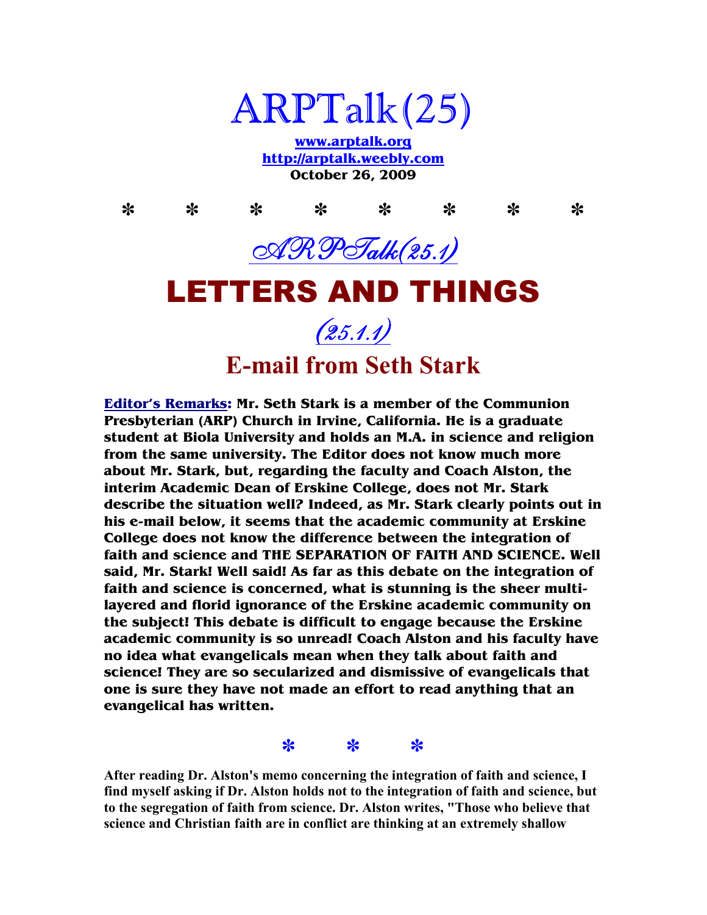

**www.arptalk.org http://arptalk.weebly.com October 26, 2009** 

**\* \* \* \* \* \* \* \***   $\mathcal{A}\mathcal{R}$ PTalk $(25.1)$ LETTERS AND THINGS (25.1.1) **E-mail from Seth Stark** 

**Editor's Remarks: Mr. Seth Stark is a member of the Communion Presbyterian (ARP) Church in Irvine, California. He is a graduate student at Biola University and holds an M.A. in science and religion from the same university. The Editor does not know much more about Mr. Stark, but, regarding the faculty and Coach Alston, the interim Academic Dean of Erskine College, does not Mr. Stark describe the situation well? Indeed, as Mr. Stark clearly points out in his e-mail below, it seems that the academic community at Erskine College does not know the difference between the integration of faith and science and THE SEPARATION OF FAITH AND SCIENCE. Well said, Mr. Stark! Well said! As far as this debate on the integration of faith and science is concerned, what is stunning is the sheer multilayered and florid ignorance of the Erskine academic community on the subject! This debate is difficult to engage because the Erskine academic community is so unread! Coach Alston and his faculty have no idea what evangelicals mean when they talk about faith and science! They are so secularized and dismissive of evangelicals that one is sure they have not made an effort to read anything that an evangelical has written.** 

**\* \* \***

**After reading Dr. Alston's memo concerning the integration of faith and science, I find myself asking if Dr. Alston holds not to the integration of faith and science, but to the segregation of faith from science. Dr. Alston writes, "Those who believe that science and Christian faith are in conflict are thinking at an extremely shallow**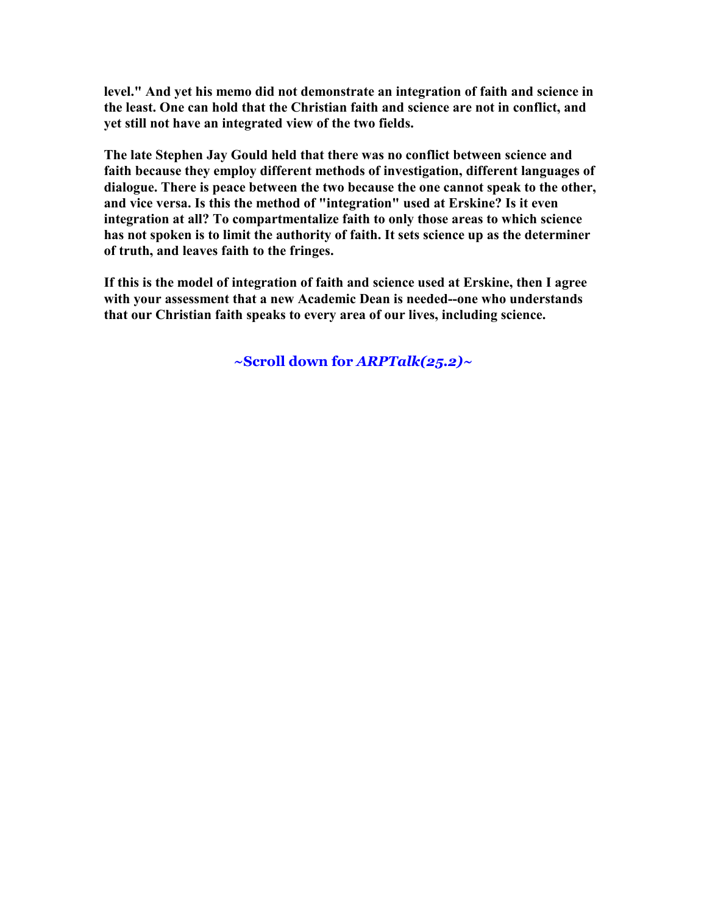**level." And yet his memo did not demonstrate an integration of faith and science in the least. One can hold that the Christian faith and science are not in conflict, and yet still not have an integrated view of the two fields.** 

**The late Stephen Jay Gould held that there was no conflict between science and faith because they employ different methods of investigation, different languages of dialogue. There is peace between the two because the one cannot speak to the other, and vice versa. Is this the method of "integration" used at Erskine? Is it even integration at all? To compartmentalize faith to only those areas to which science has not spoken is to limit the authority of faith. It sets science up as the determiner of truth, and leaves faith to the fringes.** 

**If this is the model of integration of faith and science used at Erskine, then I agree with your assessment that a new Academic Dean is needed--one who understands that our Christian faith speaks to every area of our lives, including science.** 

**~Scroll down for** *ARPTalk(25.2)~*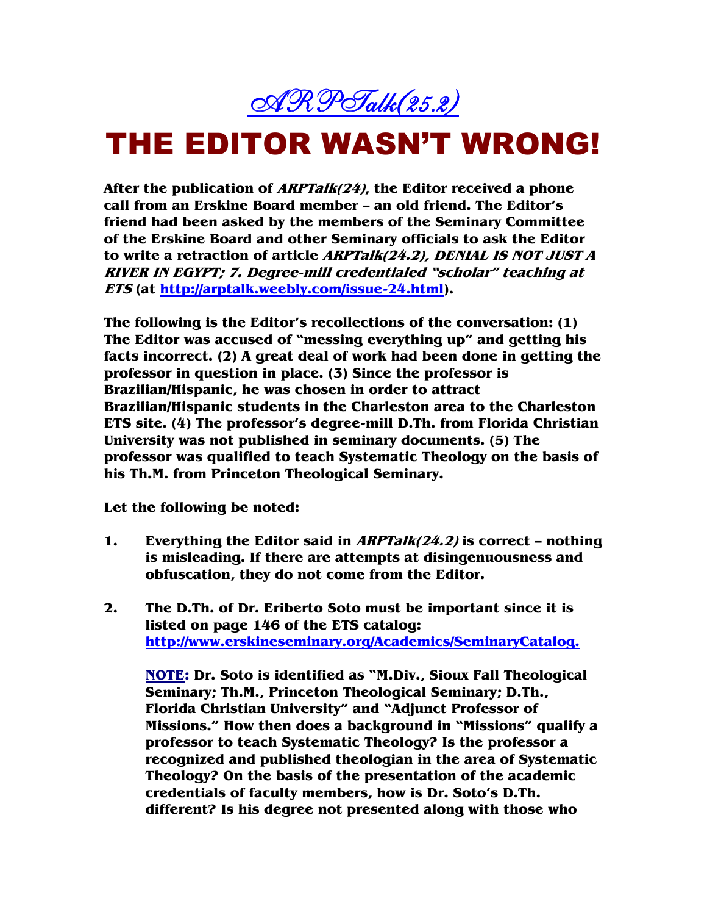

## THE EDITOR WASN'T WRONG!

**After the publication of ARPTalk(24), the Editor received a phone call from an Erskine Board member – an old friend. The Editor's friend had been asked by the members of the Seminary Committee of the Erskine Board and other Seminary officials to ask the Editor to write a retraction of article ARPTalk(24.2), DENIAL IS NOT JUST A RIVER IN EGYPT; 7. Degree-mill credentialed "scholar" teaching at ETS (at http://arptalk.weebly.com/issue-24.html).** 

**The following is the Editor's recollections of the conversation: (1) The Editor was accused of "messing everything up" and getting his facts incorrect. (2) A great deal of work had been done in getting the professor in question in place. (3) Since the professor is Brazilian/Hispanic, he was chosen in order to attract Brazilian/Hispanic students in the Charleston area to the Charleston ETS site. (4) The professor's degree-mill D.Th. from Florida Christian University was not published in seminary documents. (5) The professor was qualified to teach Systematic Theology on the basis of his Th.M. from Princeton Theological Seminary.** 

**Let the following be noted:** 

- **1. Everything the Editor said in ARPTalk(24.2) is correct nothing is misleading. If there are attempts at disingenuousness and obfuscation, they do not come from the Editor.**
- **2. The D.Th. of Dr. Eriberto Soto must be important since it is listed on page 146 of the ETS catalog: http://www.erskineseminary.org/Academics/SeminaryCatalog.**

**NOTE: Dr. Soto is identified as "M.Div., Sioux Fall Theological Seminary; Th.M., Princeton Theological Seminary; D.Th., Florida Christian University" and "Adjunct Professor of Missions." How then does a background in "Missions" qualify a professor to teach Systematic Theology? Is the professor a recognized and published theologian in the area of Systematic Theology? On the basis of the presentation of the academic credentials of faculty members, how is Dr. Soto's D.Th. different? Is his degree not presented along with those who**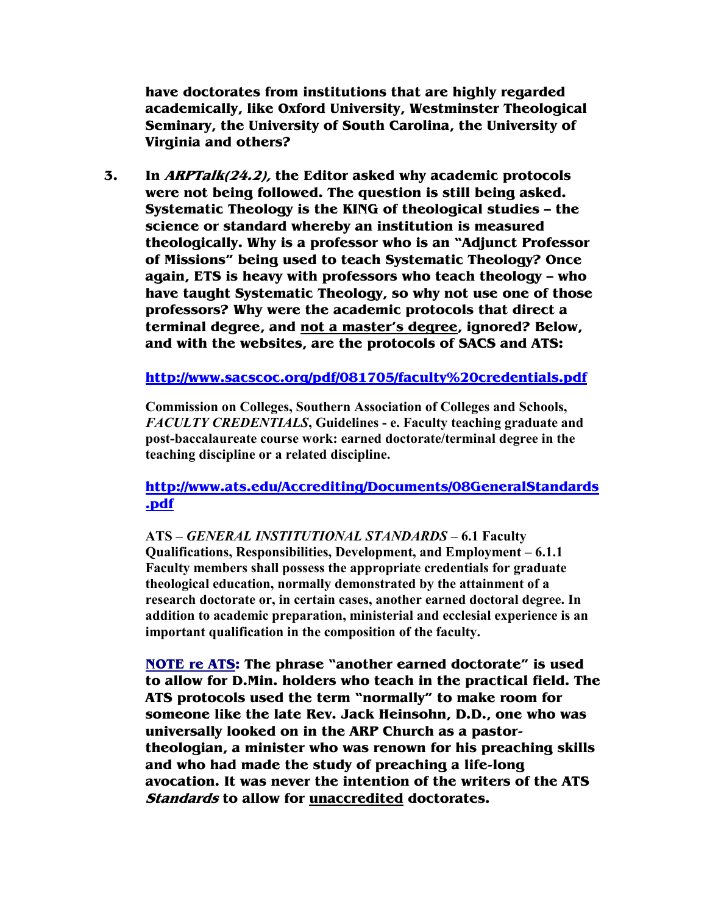**have doctorates from institutions that are highly regarded academically, like Oxford University, Westminster Theological Seminary, the University of South Carolina, the University of Virginia and others?** 

**3. In ARPTalk(24.2), the Editor asked why academic protocols were not being followed. The question is still being asked. Systematic Theology is the KING of theological studies – the science or standard whereby an institution is measured theologically. Why is a professor who is an "Adjunct Professor of Missions" being used to teach Systematic Theology? Once again, ETS is heavy with professors who teach theology – who have taught Systematic Theology, so why not use one of those professors? Why were the academic protocols that direct a terminal degree, and not a master's degree, ignored? Below, and with the websites, are the protocols of SACS and ATS:** 

## **http://www.sacscoc.org/pdf/081705/faculty%20credentials.pdf**

**Commission on Colleges, Southern Association of Colleges and Schools,**  *FACULTY CREDETIALS***, Guidelines - e. Faculty teaching graduate and post-baccalaureate course work: earned doctorate/terminal degree in the teaching discipline or a related discipline.** 

## **http://www.ats.edu/Accrediting/Documents/08GeneralStandards .pdf**

**ATS –** *GEERAL ISTITUTIOAL STADARDS* **– 6.1 Faculty Qualifications, Responsibilities, Development, and Employment – 6.1.1 Faculty members shall possess the appropriate credentials for graduate theological education, normally demonstrated by the attainment of a research doctorate or, in certain cases, another earned doctoral degree. In addition to academic preparation, ministerial and ecclesial experience is an important qualification in the composition of the faculty.** 

**NOTE re ATS: The phrase "another earned doctorate" is used to allow for D.Min. holders who teach in the practical field. The ATS protocols used the term "normally" to make room for someone like the late Rev. Jack Heinsohn, D.D., one who was universally looked on in the ARP Church as a pastortheologian, a minister who was renown for his preaching skills and who had made the study of preaching a life-long avocation. It was never the intention of the writers of the ATS Standards to allow for unaccredited doctorates.**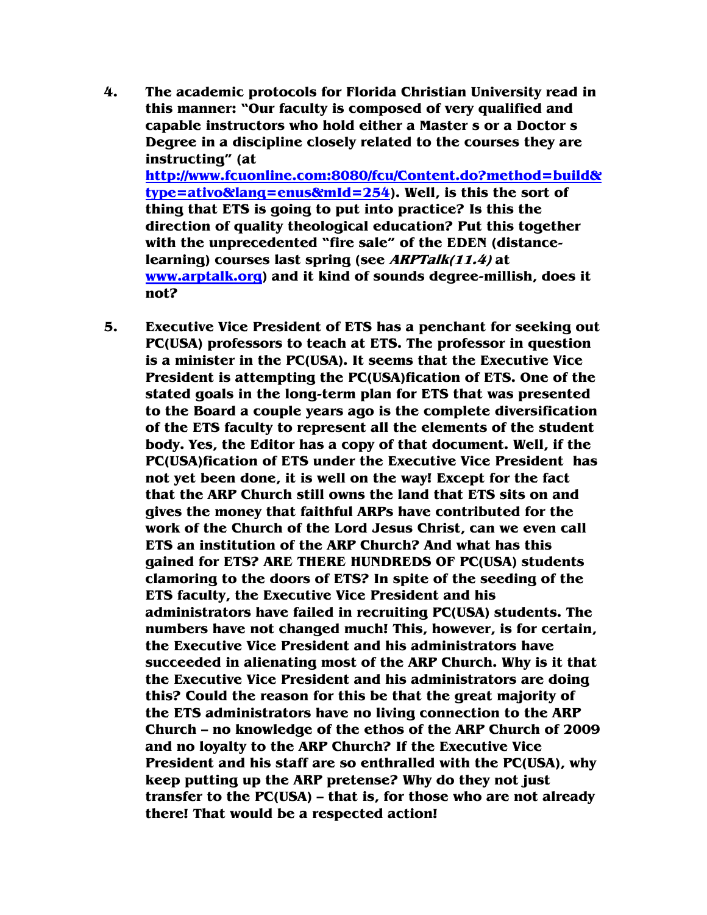**4. The academic protocols for Florida Christian University read in this manner: "Our faculty is composed of very qualified and capable instructors who hold either a Master s or a Doctor s Degree in a discipline closely related to the courses they are instructing" (at http://www.fcuonline.com:8080/fcu/Content.do?method=build& type=ativo&lang=enus&mId=254). Well, is this the sort of thing that ETS is going to put into practice? Is this the direction of quality theological education? Put this together with the unprecedented "fire sale" of the EDEN (distancelearning) courses last spring (see ARPTalk(11.4) at www.arptalk.org) and it kind of sounds degree-millish, does it** 

**not?** 

**5. Executive Vice President of ETS has a penchant for seeking out PC(USA) professors to teach at ETS. The professor in question is a minister in the PC(USA). It seems that the Executive Vice President is attempting the PC(USA)fication of ETS. One of the stated goals in the long-term plan for ETS that was presented to the Board a couple years ago is the complete diversification of the ETS faculty to represent all the elements of the student body. Yes, the Editor has a copy of that document. Well, if the PC(USA)fication of ETS under the Executive Vice President has not yet been done, it is well on the way! Except for the fact that the ARP Church still owns the land that ETS sits on and gives the money that faithful ARPs have contributed for the work of the Church of the Lord Jesus Christ, can we even call ETS an institution of the ARP Church? And what has this gained for ETS? ARE THERE HUNDREDS OF PC(USA) students clamoring to the doors of ETS? In spite of the seeding of the ETS faculty, the Executive Vice President and his administrators have failed in recruiting PC(USA) students. The numbers have not changed much! This, however, is for certain, the Executive Vice President and his administrators have succeeded in alienating most of the ARP Church. Why is it that the Executive Vice President and his administrators are doing this? Could the reason for this be that the great majority of the ETS administrators have no living connection to the ARP Church – no knowledge of the ethos of the ARP Church of 2009 and no loyalty to the ARP Church? If the Executive Vice President and his staff are so enthralled with the PC(USA), why keep putting up the ARP pretense? Why do they not just transfer to the PC(USA) – that is, for those who are not already there! That would be a respected action!**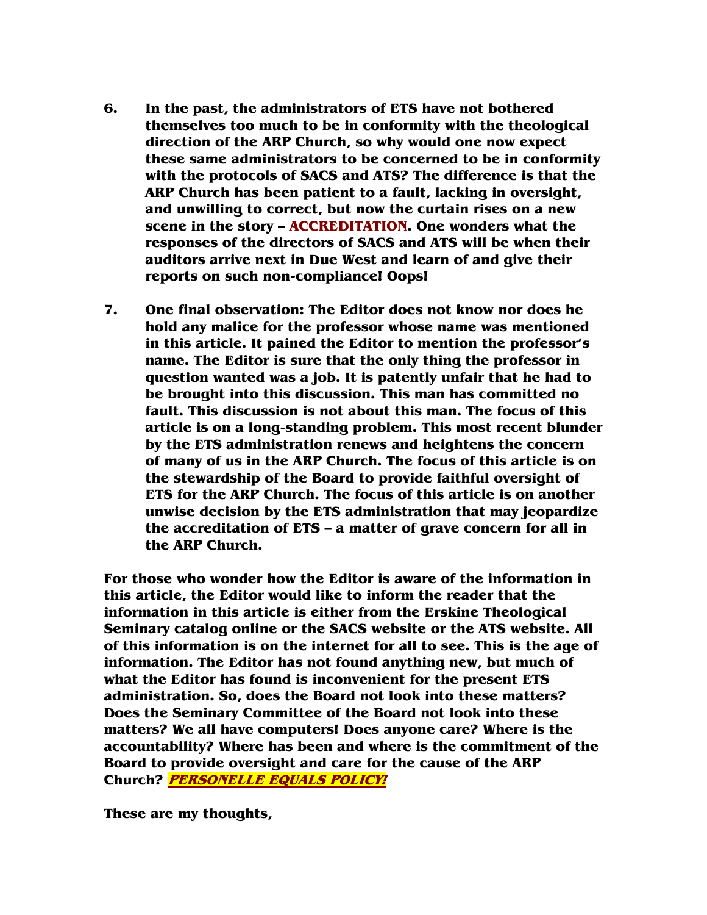- **6. In the past, the administrators of ETS have not bothered themselves too much to be in conformity with the theological direction of the ARP Church, so why would one now expect these same administrators to be concerned to be in conformity with the protocols of SACS and ATS? The difference is that the ARP Church has been patient to a fault, lacking in oversight, and unwilling to correct, but now the curtain rises on a new scene in the story – ACCREDITATION. One wonders what the responses of the directors of SACS and ATS will be when their auditors arrive next in Due West and learn of and give their reports on such non-compliance! Oops!**
- **7. One final observation: The Editor does not know nor does he hold any malice for the professor whose name was mentioned in this article. It pained the Editor to mention the professor's name. The Editor is sure that the only thing the professor in question wanted was a job. It is patently unfair that he had to be brought into this discussion. This man has committed no fault. This discussion is not about this man. The focus of this article is on a long-standing problem. This most recent blunder by the ETS administration renews and heightens the concern of many of us in the ARP Church. The focus of this article is on the stewardship of the Board to provide faithful oversight of ETS for the ARP Church. The focus of this article is on another unwise decision by the ETS administration that may jeopardize the accreditation of ETS – a matter of grave concern for all in the ARP Church.**

**For those who wonder how the Editor is aware of the information in this article, the Editor would like to inform the reader that the information in this article is either from the Erskine Theological Seminary catalog online or the SACS website or the ATS website. All of this information is on the internet for all to see. This is the age of information. The Editor has not found anything new, but much of what the Editor has found is inconvenient for the present ETS administration. So, does the Board not look into these matters? Does the Seminary Committee of the Board not look into these matters? We all have computers! Does anyone care? Where is the accountability? Where has been and where is the commitment of the Board to provide oversight and care for the cause of the ARP Church? PERSONELLE EQUALS POLICY!**

**These are my thoughts,**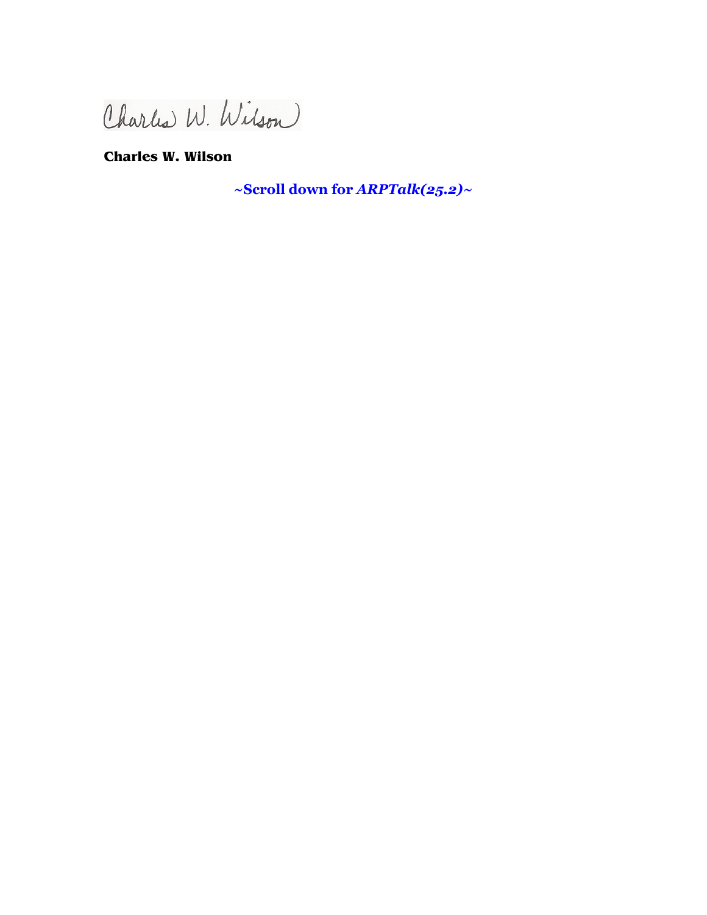Charles W. Wilson

**Charles W. Wilson** 

**~Scroll down for** *ARPTalk(25.2)~*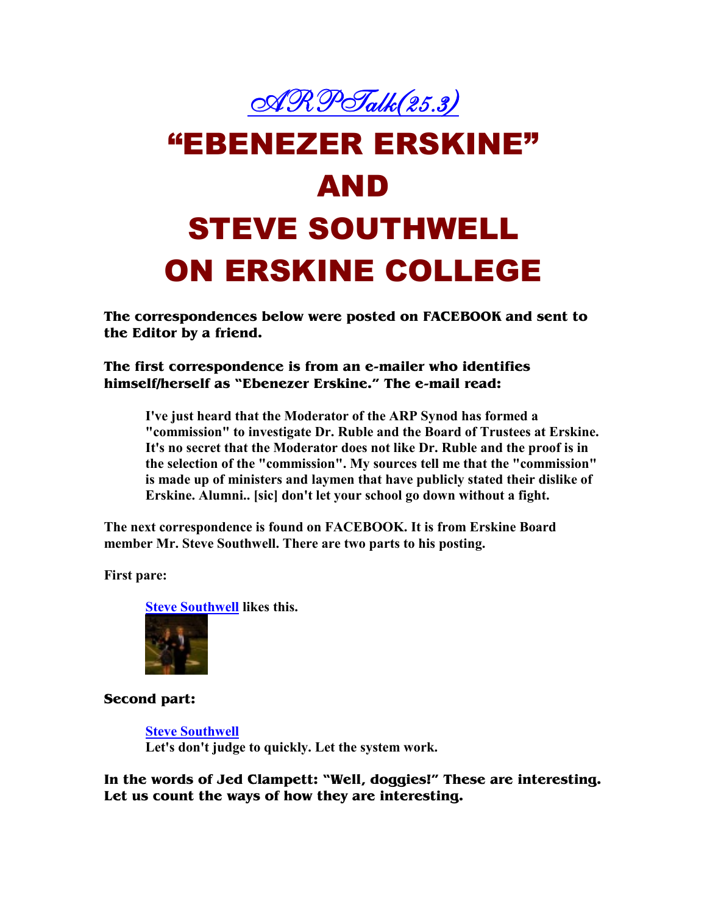

## "EBENEZER ERSKINE" AND STEVE SOUTHWELL ON ERSKINE COLLEGE

**The correspondences below were posted on FACEBOOK and sent to the Editor by a friend.** 

**The first correspondence is from an e-mailer who identifies himself/herself as "Ebenezer Erskine." The e-mail read:** 

**I've just heard that the Moderator of the ARP Synod has formed a "commission" to investigate Dr. Ruble and the Board of Trustees at Erskine. It's no secret that the Moderator does not like Dr. Ruble and the proof is in the selection of the "commission". My sources tell me that the "commission" is made up of ministers and laymen that have publicly stated their dislike of Erskine. Alumni.. [sic] don't let your school go down without a fight.** 

**The next correspondence is found on FACEBOOK. It is from Erskine Board member Mr. Steve Southwell. There are two parts to his posting.** 

**First pare:** 

**Steve Southwell likes this.** 



**Second part:** 

**Steve Southwell Let's don't judge to quickly. Let the system work.** 

**In the words of Jed Clampett: "Well, doggies!" These are interesting. Let us count the ways of how they are interesting.**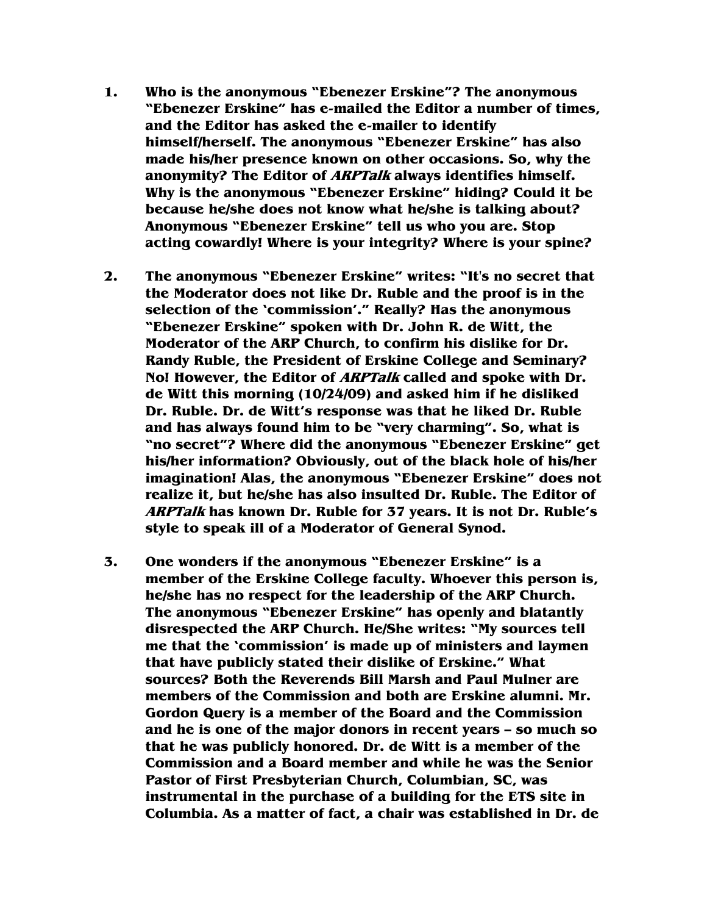- **1. Who is the anonymous "Ebenezer Erskine"? The anonymous "Ebenezer Erskine" has e-mailed the Editor a number of times, and the Editor has asked the e-mailer to identify himself/herself. The anonymous "Ebenezer Erskine" has also made his/her presence known on other occasions. So, why the anonymity? The Editor of ARPTalk always identifies himself. Why is the anonymous "Ebenezer Erskine" hiding? Could it be because he/she does not know what he/she is talking about? Anonymous "Ebenezer Erskine" tell us who you are. Stop acting cowardly! Where is your integrity? Where is your spine?**
- **2. The anonymous "Ebenezer Erskine" writes: "It's no secret that the Moderator does not like Dr. Ruble and the proof is in the selection of the 'commission'." Really? Has the anonymous "Ebenezer Erskine" spoken with Dr. John R. de Witt, the Moderator of the ARP Church, to confirm his dislike for Dr. Randy Ruble, the President of Erskine College and Seminary? No! However, the Editor of ARPTalk called and spoke with Dr. de Witt this morning (10/24/09) and asked him if he disliked Dr. Ruble. Dr. de Witt's response was that he liked Dr. Ruble and has always found him to be "very charming". So, what is "no secret"? Where did the anonymous "Ebenezer Erskine" get his/her information? Obviously, out of the black hole of his/her imagination! Alas, the anonymous "Ebenezer Erskine" does not realize it, but he/she has also insulted Dr. Ruble. The Editor of ARPTalk has known Dr. Ruble for 37 years. It is not Dr. Ruble's style to speak ill of a Moderator of General Synod.**
- **3. One wonders if the anonymous "Ebenezer Erskine" is a member of the Erskine College faculty. Whoever this person is, he/she has no respect for the leadership of the ARP Church. The anonymous "Ebenezer Erskine" has openly and blatantly disrespected the ARP Church. He/She writes: "My sources tell me that the 'commission' is made up of ministers and laymen that have publicly stated their dislike of Erskine." What sources? Both the Reverends Bill Marsh and Paul Mulner are members of the Commission and both are Erskine alumni. Mr. Gordon Query is a member of the Board and the Commission and he is one of the major donors in recent years – so much so that he was publicly honored. Dr. de Witt is a member of the Commission and a Board member and while he was the Senior Pastor of First Presbyterian Church, Columbian, SC, was instrumental in the purchase of a building for the ETS site in Columbia. As a matter of fact, a chair was established in Dr. de**